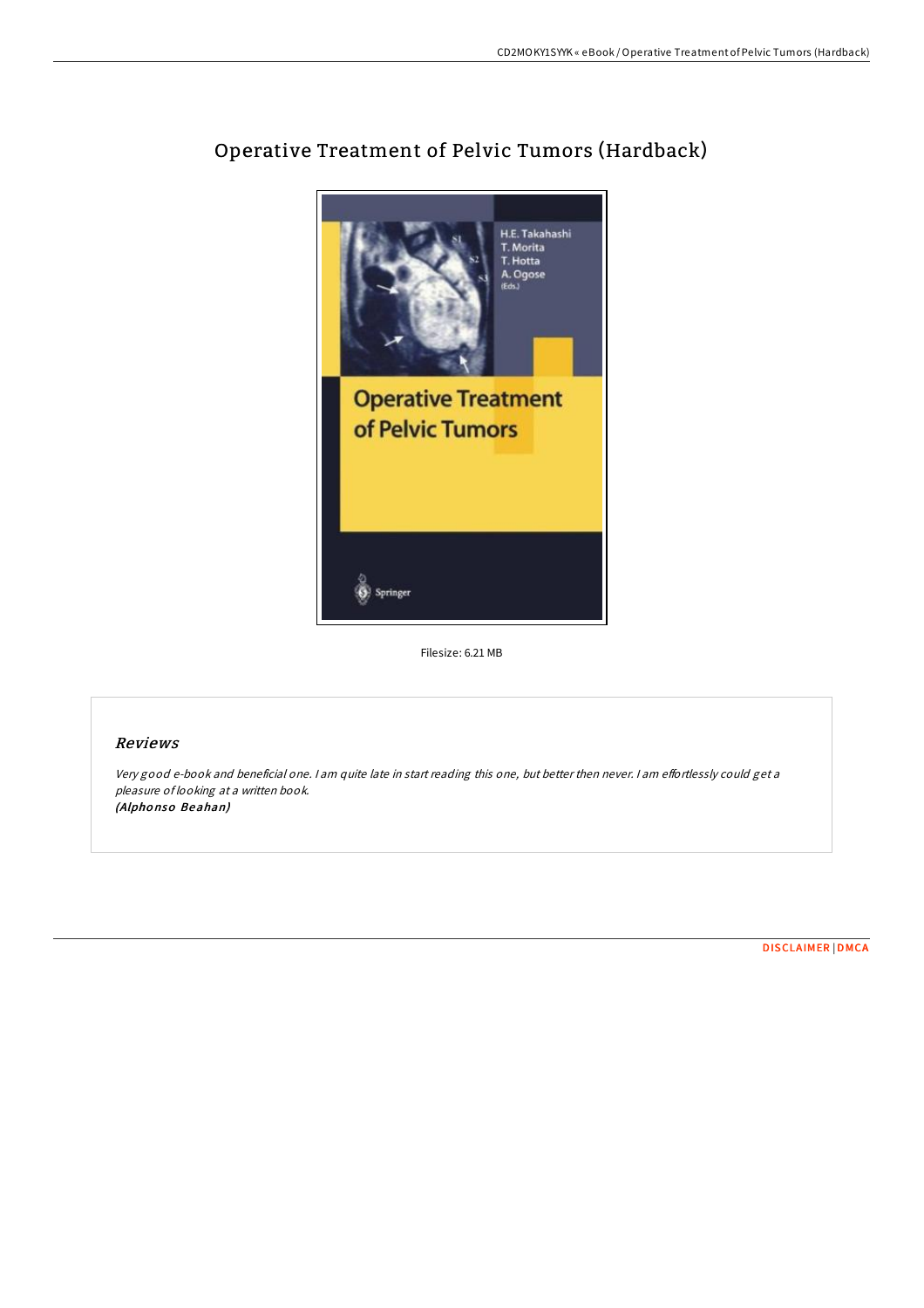

## Operative Treatment of Pelvic Tumors (Hardback)

Filesize: 6.21 MB

## Reviews

Very good e-book and beneficial one. I am quite late in start reading this one, but better then never. I am effortlessly could get a pleasure of looking at <sup>a</sup> written book. (Alpho nso Beahan)

[DISCLAIMER](http://almighty24.tech/disclaimer.html) | [DMCA](http://almighty24.tech/dmca.html)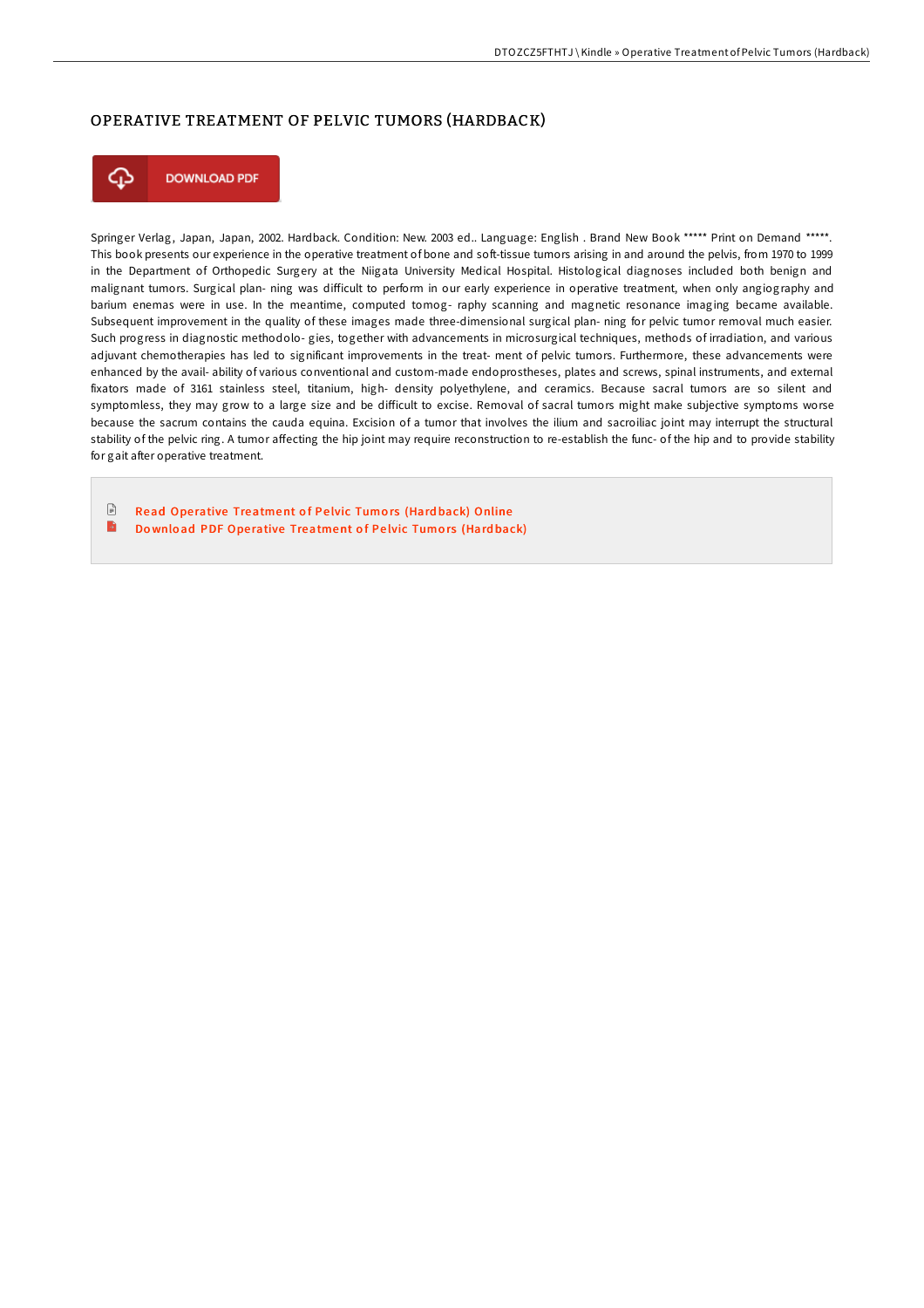## OPERATIVE TREATMENT OF PELVIC TUMORS (HARDBACK)



Springer Verlag, Japan, Japan, 2002. Hardback. Condition: New. 2003 ed.. Language: English . Brand New Book \*\*\*\*\* Print on Demand \*\*\*\*\*. This book presents our experience in the operative treatment of bone and soft-tissue tumors arising in and around the pelvis, from 1970 to 1999 in the Department of Orthopedic Surgery at the Niigata University Medical Hospital. Histological diagnoses included both benign and malignant tumors. Surgical plan- ning was diEicult to perform in our early experience in operative treatment, when only angiography and barium enemas were in use. In the meantime, computed tomog- raphy scanning and magnetic resonance imaging became available. Subsequent improvement in the quality of these images made three-dimensional surgical plan- ning for pelvic tumor removal much easier. Such progress in diagnostic methodolo- gies, together with advancements in microsurgical techniques, methods of irradiation, and various adjuvant chemotherapies has led to significant improvements in the treat- ment of pelvic tumors. Furthermore, these advancements were enhanced by the avail- ability of various conventional and custom-made endoprostheses, plates and screws, spinal instruments, and external fixators made of 3161 stainless steel, titanium, high- density polyethylene, and ceramics. Because sacral tumors are so silent and symptomless, they may grow to a large size and be difficult to excise. Removal of sacral tumors might make subjective symptoms worse because the sacrum contains the cauda equina. Excision of a tumor that involves the ilium and sacroiliac joint may interrupt the structural stability of the pelvic ring. A tumor affecting the hip joint may require reconstruction to re-establish the func- of the hip and to provide stability for gait after operative treatment.

 $\mathbb{R}$ Read Operative [Treatment](http://almighty24.tech/operative-treatment-of-pelvic-tumors-hardback.html) of Pelvic Tumors (Hardback) Online B Do wnload PDF Operative [Treatment](http://almighty24.tech/operative-treatment-of-pelvic-tumors-hardback.html) of Pelvic Tumors (Hardback)